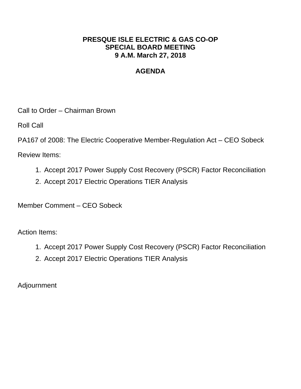# **PRESQUE ISLE ELECTRIC & GAS CO-OP SPECIAL BOARD MEETING 9 A.M. March 27, 2018**

# **AGENDA**

Call to Order – Chairman Brown

Roll Call

PA167 of 2008: The Electric Cooperative Member-Regulation Act – CEO Sobeck

Review Items:

- 1. Accept 2017 Power Supply Cost Recovery (PSCR) Factor Reconciliation
- 2. Accept 2017 Electric Operations TIER Analysis

Member Comment – CEO Sobeck

Action Items:

- 1. Accept 2017 Power Supply Cost Recovery (PSCR) Factor Reconciliation
- 2. Accept 2017 Electric Operations TIER Analysis

Adjournment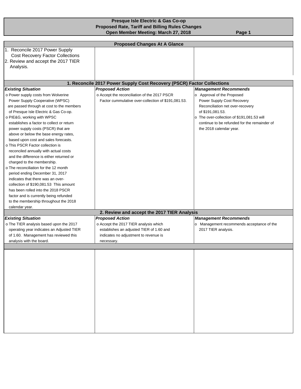#### **Presque Isle Electric & Gas Co-op Proposed Rate, Tariff and Billing Rules Changes Open Member Meeting: March 27, 2018** Page 1

|                                                                              | <b>Proposed Changes At A Glance</b>                                    |                                              |  |  |  |  |  |
|------------------------------------------------------------------------------|------------------------------------------------------------------------|----------------------------------------------|--|--|--|--|--|
| 1. Reconcile 2017 Power Supply                                               |                                                                        |                                              |  |  |  |  |  |
| <b>Cost Recovery Factor Collections</b>                                      |                                                                        |                                              |  |  |  |  |  |
| 2. Review and accept the 2017 TIER                                           |                                                                        |                                              |  |  |  |  |  |
| Analysis.                                                                    |                                                                        |                                              |  |  |  |  |  |
|                                                                              |                                                                        |                                              |  |  |  |  |  |
|                                                                              | 1. Reconcile 2017 Power Supply Cost Recovery (PSCR) Factor Collections |                                              |  |  |  |  |  |
| <b>Existing Situation</b>                                                    | <b>Proposed Action</b>                                                 | <b>Management Recommends</b>                 |  |  |  |  |  |
| o Power supply costs from Wolverine                                          | o Accept the reconciliation of the 2017 PSCR                           | o Approval of the Proposed                   |  |  |  |  |  |
| Power Supply Cooperative (WPSC)                                              | Factor cummulative over-collection of \$191,081.53.                    | Power Supply Cost Recovery                   |  |  |  |  |  |
| are passed through at cost to the members                                    |                                                                        | Reconciliation net over-recovery             |  |  |  |  |  |
| of Presque Isle Electric & Gas Co-op.                                        |                                                                        | of \$191,081.53.                             |  |  |  |  |  |
| o PIE&G, working with WPSC                                                   |                                                                        | o The over-collection of \$191,081.53 will   |  |  |  |  |  |
| establishes a factor to collect or return                                    |                                                                        | continue to be refunded for the remainder of |  |  |  |  |  |
| power supply costs (PSCR) that are                                           |                                                                        | the 2018 calendar year.                      |  |  |  |  |  |
| above or below the base energy rates,                                        |                                                                        |                                              |  |  |  |  |  |
| based upon cost and sales forecasts.                                         |                                                                        |                                              |  |  |  |  |  |
| o This PSCR Factor collection is                                             |                                                                        |                                              |  |  |  |  |  |
| reconciled annually with actual costs                                        |                                                                        |                                              |  |  |  |  |  |
| and the difference is either returned or                                     |                                                                        |                                              |  |  |  |  |  |
| charged to the membership.                                                   |                                                                        |                                              |  |  |  |  |  |
| o The reconciliation for the 12 month                                        |                                                                        |                                              |  |  |  |  |  |
| period ending December 31, 2017                                              |                                                                        |                                              |  |  |  |  |  |
| indicates that there was an over-                                            |                                                                        |                                              |  |  |  |  |  |
| collection of \$190,081.53 This amount<br>has been rolled into the 2018 PSCR |                                                                        |                                              |  |  |  |  |  |
| factor and is currently being refunded                                       |                                                                        |                                              |  |  |  |  |  |
| to the membership throughout the 2018                                        |                                                                        |                                              |  |  |  |  |  |
| calendar year.                                                               |                                                                        |                                              |  |  |  |  |  |
|                                                                              | 2. Review and accept the 2017 TIER Analysis                            |                                              |  |  |  |  |  |
| <b>Existing Situation</b>                                                    | <b>Proposed Action</b>                                                 | <b>Management Recommends</b>                 |  |  |  |  |  |
| o The TIER analysis based upon the 2017                                      | o Accept the 2017 TIER analysis which                                  | Management recommends acceptance of the      |  |  |  |  |  |
| operating year indicates an Adjusted TIER                                    | establishes an adjusted TIER of 1.60 and                               | 2017 TIER analysis.                          |  |  |  |  |  |
| of 1.60. Management has reviewed this                                        | indicates no adjustment to revenue is                                  |                                              |  |  |  |  |  |
| analysis with the board.                                                     | necessary.                                                             |                                              |  |  |  |  |  |
|                                                                              |                                                                        |                                              |  |  |  |  |  |
|                                                                              |                                                                        |                                              |  |  |  |  |  |
|                                                                              |                                                                        |                                              |  |  |  |  |  |
|                                                                              |                                                                        |                                              |  |  |  |  |  |
|                                                                              |                                                                        |                                              |  |  |  |  |  |
|                                                                              |                                                                        |                                              |  |  |  |  |  |
|                                                                              |                                                                        |                                              |  |  |  |  |  |
|                                                                              |                                                                        |                                              |  |  |  |  |  |
|                                                                              |                                                                        |                                              |  |  |  |  |  |
|                                                                              |                                                                        |                                              |  |  |  |  |  |
|                                                                              |                                                                        |                                              |  |  |  |  |  |
|                                                                              |                                                                        |                                              |  |  |  |  |  |
|                                                                              |                                                                        |                                              |  |  |  |  |  |
|                                                                              |                                                                        |                                              |  |  |  |  |  |
|                                                                              |                                                                        |                                              |  |  |  |  |  |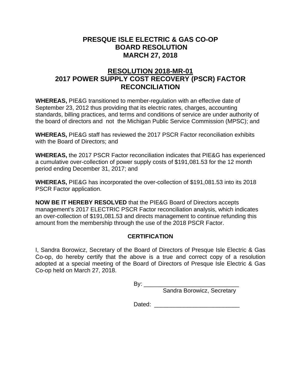## **PRESQUE ISLE ELECTRIC & GAS CO-OP BOARD RESOLUTION MARCH 27, 2018**

# **RESOLUTION 2018-MR-01 2017 POWER SUPPLY COST RECOVERY (PSCR) FACTOR RECONCILIATION**

**WHEREAS,** PIE&G transitioned to member-regulation with an effective date of September 23, 2012 thus providing that its electric rates, charges, accounting standards, billing practices, and terms and conditions of service are under authority of the board of directors and not the Michigan Public Service Commission (MPSC); and

**WHEREAS,** PIE&G staff has reviewed the 2017 PSCR Factor reconciliation exhibits with the Board of Directors; and

**WHEREAS,** the 2017 PSCR Factor reconciliation indicates that PIE&G has experienced a cumulative over-collection of power supply costs of [\\$191,081.53](https://191,081.53) for the 12 month period ending December 31, 2017; and

**WHEREAS,** PIE&G has incorporated the over-collection of [\\$191,081.53](https://191,081.53) into its 2018 PSCR Factor application.

**NOW BE IT HEREBY RESOLVED** that the PIE&G Board of Directors accepts management's 2017 ELECTRIC PSCR Factor reconciliation analysis, which indicates an over-collection of [\\$191,081.53](https://191,081.53) and directs management to continue refunding this amount from the membership through the use of the 2018 PSCR Factor.

## **CERTIFICATION**

I, Sandra Borowicz, Secretary of the Board of Directors of Presque Isle Electric & Gas Co-op, do hereby certify that the above is a true and correct copy of a resolution adopted at a special meeting of the Board of Directors of Presque Isle Electric & Gas Co-op held on March 27, 2018.

 $By:$ 

Sandra Borowicz, Secretary

Dated:  $\Box$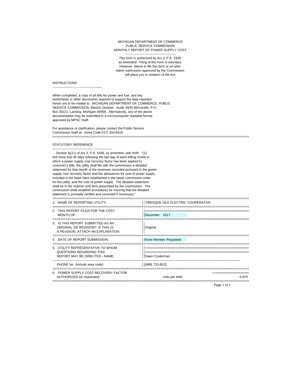#### ----------------------------------------------- MICHIGAN DEPARTMENT OF COMMERCE PUBLIC SERVICE COMMISSION MONTHLY REPORT OF POWER SUPPLY COST

This form is authorized by Act 3, P.A. 1939, as amended. Filing of this form is voluntary. However, failure to file this form or an alternative submission approved by the Commission will place you in violation of the Act.

#### **INSTRUCTIONS**

----------------------------------------------

When completed, a copy of all bills for power and fuel, and any worksheets or other documents required to support the data reported herein are to be mailed to: MICHIGAN DEPARTMENT OF COMMERCE, PUBLIC SERVICE COMMISSION, Electric Division - Audit, 6545 Mercantile, P.O. Box 30221, Lansing, Michigan 48909. Alternatively, any of the above documentation may be submitted in a microcomputer readable format approved by MPSC Staff.

For assistance or clarification, please contact the Public Service Commission Staff at: (Area Code 517) 334-6416 ========================================================================================================

#### STATUTORY REFERENCE

-------------------------------------------------------

 Section 6j(11) of Act 3, P.A. 1939, as amended, sets forth: "(1) Not more that 45 days following the last day of each billing month in which a power supply cost recovery factor has been applied to customer's bills, the utility shall file with the commission a detailed statement for that month of the revenues recorded pursuant to the power supply cost recovery factor and the allowances for cost of power supply included in the base rates established in the latest commission order for the utility, and the cost of power supply. The detailed statement shall be in the manner and form prescribed by the commission. The commission shall establish procedures for insuring that the detailed statement is promptly verified and corrected if necessary."

| 1. NAME OF REPORTING UTILITY:                                                                               | PRESQUE ISLE ELECTRIC COOPERATIVE |
|-------------------------------------------------------------------------------------------------------------|-----------------------------------|
| 2. THIS REPORT FILED FOR THE COST<br>MONTH OF:                                                              | December 2017                     |
| 3. IS THIS REPORT SUBMITTED AS AN<br>ORIGINAL OR REVISION? IF THIS IS<br>A REVISION, ATTACH AN EXPLANATION. | Original                          |
| 4. DATE OF REPORT SUBMISSION:                                                                               | None-Member Requlated             |
| 5. UTILITY REPRESENTATIVE TO WHOM<br>QUESTIONS REGARDING THIS<br><b>REPORT MAY BE DIRECTED - NAME:</b>      | Dawn Cryderman                    |
| PHONE No. (include area code):                                                                              | (989) 733-8515                    |
| 6. POWER SUPPLY COST RECOVERY FACTOR<br>AUTHORIZED (or requested):                                          | mills per kWh<br>0.870            |

Page 1 of 2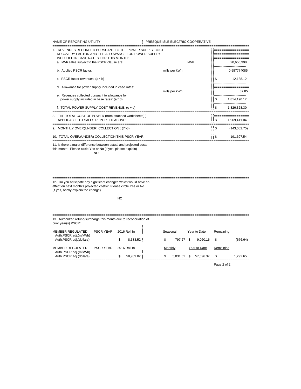| NAME OF REPORTING UTILITY:                                                                                                                             | PRESQUE ISLE ELECTRIC COOPERATIVE |               |                       |  |
|--------------------------------------------------------------------------------------------------------------------------------------------------------|-----------------------------------|---------------|-----------------------|--|
| 7. REVENUES RECORDED PURSUANT TO THE POWER SUPPLY COST<br>RECOVERY FACTOR AND THE ALLOWANCE FOR POWER SUPPLY<br>INCLUDED IN BASE RATES FOR THIS MONTH: |                                   |               |                       |  |
| a. kWh sales subject to the PSCR clause are:                                                                                                           | kWh                               |               | 20,650,998            |  |
| b. Applied PSCR factor:                                                                                                                                | mills per kWh                     |               | 0.587774085           |  |
| c. PSCR factor revenues: (a * b)                                                                                                                       |                                   | S             | 12,138.12             |  |
| d. Allowance for power supply included in case rates:                                                                                                  | mills per kWh                     |               |                       |  |
| e. Revenues collected pursuant to allowance for<br>power supply included in base rates: (a * d)                                                        |                                   | \$            | 87.85<br>1,814,190.17 |  |
| f. TOTAL POWER SUPPLY COST REVENUE: (c + e)                                                                                                            |                                   | !!\$          | 1.826.328.30          |  |
| 8. THE TOTAL COST OF POWER (from attached worksheets))                                                                                                 |                                   |               |                       |  |
| APPLICABLE TO SALES REPORTED ABOVE:                                                                                                                    |                                   | <b>18</b>     | 1.969.411.04          |  |
| 9. MONTHLY OVER(UNDER) COLLECTION : (7f-8)                                                                                                             |                                   | $\frac{1}{3}$ | (143,082.75)          |  |
| 10. TOTAL OVER/(UNDER) COLLECTION THIS PSCR YEAR                                                                                                       |                                   | $\frac{1}{2}$ | 191.697.54            |  |

11. Is there a major difference between actual and projected costs this month: Please circle Yes or No (if yes, please explain)

NO

======================================================================================================== 12. Do you anticipate any significant changes which would have an effect on next month's projected costs? Please circle Yes or No (if yes, briefly explain the change)

#### NO

| 13. Authorized refund/surcharge this month due to reconciliation of<br>prior year(s) PSCR: |                  |                 |                 |                  |                 |  |  |
|--------------------------------------------------------------------------------------------|------------------|-----------------|-----------------|------------------|-----------------|--|--|
| MEMBER REGULATED<br>Auth.PSCR adj.(m/kWh)                                                  | <b>PSCR YEAR</b> | 2016 Roll In    | Seasonal        | Year to Date     | Remaining       |  |  |
| Auth.PSCR adj.(dollars)                                                                    |                  | 8,383.52<br>\$  | \$<br>797.27 \$ | 9.060.16         | -\$<br>(676.64) |  |  |
| MEMBER REGULATED<br>Auth.PSCR adj.(m/kWh)                                                  | <b>PSCR YFAR</b> | 2016 Roll In    | Monthly         | Year to Date     | Remaining       |  |  |
| Auth.PSCR adj.(dollars)                                                                    |                  | 58,989.02<br>\$ | \$<br>5.031.01  | \$.<br>57.696.37 | -S<br>1.292.65  |  |  |

Page 2 of 2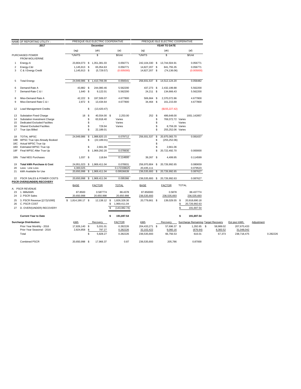|                            | NAME OF REPORTING UTILITY :                                                                                                                                  |                              |                       | PRESQUE ISLE ELECTRIC COOPERATIVE                |                                        |                                |                        | PRESQUE ISLE ELECTRIC COOPERATIVE                                       |        |                                      |                       |                           |            |          |
|----------------------------|--------------------------------------------------------------------------------------------------------------------------------------------------------------|------------------------------|-----------------------|--------------------------------------------------|----------------------------------------|--------------------------------|------------------------|-------------------------------------------------------------------------|--------|--------------------------------------|-----------------------|---------------------------|------------|----------|
|                            | 2017                                                                                                                                                         |                              |                       | December                                         |                                        |                                |                        | <b>YEAR TO DATE</b>                                                     |        |                                      |                       |                           |            |          |
|                            |                                                                                                                                                              | (ag)                         |                       | (ah)                                             | (ai)                                   | (aj)                           |                        | (ak)                                                                    |        | (al)                                 |                       |                           |            |          |
|                            | PURCHASED POWER<br>FROM WOLVERINE                                                                                                                            | *UNITS                       |                       | \$                                               | \$/Unit                                | *UNITS                         |                        | \$                                                                      |        | \$/Unit                              |                       |                           |            |          |
| 1                          | Energy-A                                                                                                                                                     |                              |                       | 23,804,073 \$ 1,351,381.03                       | 0.056771                               |                                |                        | 242, 104, 330 \$ 13, 744, 504. 91                                       |        | 0.056771                             |                       |                           |            |          |
| 2<br>3                     | Energy-C&I<br>C & I Energy Credit                                                                                                                            | 1,145,913 \$<br>1,145,913 \$ |                       | 65,054.63<br>(5,729.57)                          | 0.056771<br>(0.005000)                 | 14,827,207 \$<br>14,827,207 \$ |                        | 841,755.35<br>(74, 136.06)                                              |        | 0.056771<br>(0.005000)               |                       |                           |            |          |
| 5                          | <b>Total Energy</b>                                                                                                                                          |                              |                       | 24,949,986 \$ 1,410,706.09                       | 0.056541                               | 256,931,537 \$                 |                        | 14,512,124.20                                                           |        | 0.056482                             |                       |                           |            |          |
| 6<br>$\overline{7}$        | Demand-Rate A<br>Demand-Rate C & I                                                                                                                           | 43,882 \$<br>1,640 \$        |                       | 244,080.46<br>9,122.01                           | 5.562200<br>5.562200                   | 437,273 \$<br>24,211 \$        |                        | 2,432,199.88<br>134,666.43                                              |        | 5.562200<br>5.562200                 |                       |                           |            |          |
| 8<br>9                     | Miso-Demand Rate A<br>Miso-Demand Rate C & I                                                                                                                 | 42,222 \$<br>2,872 \$        |                       | 197,506.07<br>13,434.64                          | 4.677800<br>4.677800                   | 506,664 \$<br>34,464 \$        |                        | 2,370,072.86<br>161,215.69                                              |        | 4.677800<br>4.677800                 |                       |                           |            |          |
| 12                         | <b>Load Management Credits</b>                                                                                                                               |                              | \$                    | (13, 420.47)                                     |                                        |                                |                        | (\$155, 227.42)                                                         |        |                                      |                       |                           |            |          |
| 13<br>14<br>15<br>16<br>17 | <b>Substation Fixed Charge</b><br>Substation Investment Charge<br><b>Dedicated Excluded Facilites</b><br><b>Shared Excluded Facilites</b><br>True Ups Billed | 18 \$                        | \$<br>\$<br>\$<br>\$. | 40,554.00 \$<br>63,918.40<br>729.94<br>22,189.01 | 2,253.00<br>Varies<br>Varies<br>Varies | 252S                           | \$.<br>\$<br>\$<br>\$. | 486,648.00<br>769,372.72 Varies<br>8,759.28 Varies<br>255,252.06 Varies | Varies | 1931.142857                          |                       |                           |            |          |
| 18<br>18B<br>18C           | <b>TOTAL WPSC</b><br>WPSC True Ups Already Booked<br>Actual WPSC True Up                                                                                     | 24,949,986                   | \$<br>\$              | 1,988,820.15<br>(22, 189.01)                     | 0.079712                               | 256,931,537                    | \$<br>\$<br>\$         | 20,975,083.70<br>(255, 252.06)                                          |        | 0.081637                             |                       |                           |            |          |
| 18D<br>18F                 | Estimated WPSC True Up<br>Final WPSC After True Up                                                                                                           |                              | \$<br>\$              | 2,661.06<br>1,969,292.20                         | 0.078930                               |                                | \$<br>\$               | 2,661.06<br>20,722,492.70                                               |        | 0.000000                             |                       |                           |            |          |
|                            | 18N Total NEG Purchases                                                                                                                                      | 1,037 \$                     |                       | 118.84                                           | 0.114600                               | 39,267 \$                      |                        | 4.499.95                                                                |        | 0.114599                             |                       |                           |            |          |
| 19<br>20                   | <b>Total kWh Purchase &amp; Cost</b><br>Less: Line Loss                                                                                                      | 4,300,025                    |                       | 24,951,023 \$ 1,969,411.04                       | 0.078931<br>0.172338625                | 20,435,111                     |                        | 256,970,804 \$ 20,726,992.65                                            |        | 0.080659<br>0.079523                 |                       |                           |            |          |
| 21                         | kWh Available for Use                                                                                                                                        |                              |                       | 20,650,998 \$ 1,969,411.04                       | 0.09536639                             | 236,535,693                    | \$                     | 20,726,992.65                                                           |        | 0.087627                             |                       |                           |            |          |
| 22                         | PSCR SALES & POWER COSTS<br>PSCR OVER/(UNDER) RECOVERY                                                                                                       | 20,650,998 \$                |                       | 1,969,411.04                                     | 0.095366                               |                                |                        | 236,535,693 \$ 20,726,992.63                                            |        | 0.087627                             |                       |                           |            |          |
|                            | A. PSCR REVENUE                                                                                                                                              | BASE                         |                       | <b>FACTOR</b>                                    | <b>TOTAL</b>                           | BASE                           |                        | <b>FACTOR</b>                                                           |        | <b>TOTAL</b>                         |                       |                           |            |          |
| 23<br>24                   | 1. Mills/kWh<br>2. PSCR Sales                                                                                                                                | 87.8500<br>20,650,998        |                       | 0.587774<br>20,650,998                           | 88.4378<br>20,650,998                  | 87.850000<br>236,535,693       |                        | 0.5878<br>236,535,693                                                   |        | 88.437774<br>236,535,693             |                       |                           |            |          |
| 25<br>26                   | 3. PSCR Revenue [(1*2)/1000]<br>C. PSCR COST                                                                                                                 | $$1,814,190.17$ \$           |                       | 12,138.12 \$                                     | \$<br>1,826,328.30<br>1,969,411.04     | 20,779,661 \$                  |                        | 139,029.55 \$                                                           | \$     | 20,918,690.18<br>20,726,992.63       |                       |                           |            |          |
| 27                         | D. OVER/(UNDER) RECOVERY                                                                                                                                     |                              |                       |                                                  | \$<br>(143, 082.74)                    |                                |                        |                                                                         | S      | 191,697.54                           |                       |                           |            |          |
|                            | <b>Current Year to Date</b>                                                                                                                                  |                              |                       |                                                  | \$<br>191,697.54                       |                                |                        |                                                                         | s      | 191,697.54                           |                       |                           |            |          |
|                            | <b>Surcharge Distribution:</b>                                                                                                                               | <b>kWh</b>                   |                       | Recovery                                         | <b>FACTOR</b>                          | kWh                            |                        | Recovery                                                                |        | Surcharge Remaining: Target Recovery |                       | Est pscr kWh:             | Adjustment |          |
|                            | Prior Year Monthly - 2016<br>Prior Year Seasonal - 2016                                                                                                      | 17,826,140<br>2,824,858      | <b>S</b><br>\$        | 5,031.01<br>797.27                               | 0.282226<br>0.282226                   | 204,433,271 \$<br>32,102,422   |                        | 57,696.37 \$<br>9,060.16                                                |        | 1,292.65 \$<br>(676.64)              | 58,989.02<br>8,383.52 | 207,670,433<br>31,048,042 |            |          |
|                            | Total                                                                                                                                                        |                              | \$                    | 5,828.27                                         | 0.282226                               | 236,535,693                    |                        | 66,756.53                                                               |        | 616.01                               | 67,373                | 238,718,475               |            | 0.282226 |
|                            | <b>Combined PSCR</b>                                                                                                                                         | 20,650,998 \$                |                       | 17,966.37                                        | 0.87                                   | 236,535,693                    |                        | 205,786                                                                 |        | 0.87000                              |                       |                           |            |          |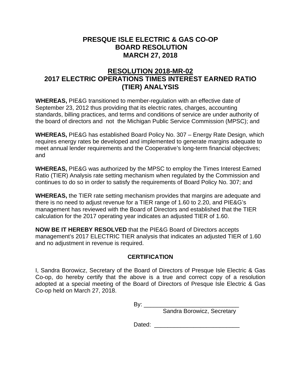## **PRESQUE ISLE ELECTRIC & GAS CO-OP BOARD RESOLUTION MARCH 27, 2018**

# **RESOLUTION 2018-MR-02 2017 ELECTRIC OPERATIONS TIMES INTEREST EARNED RATIO (TIER) ANALYSIS**

**WHEREAS,** PIE&G transitioned to member-regulation with an effective date of September 23, 2012 thus providing that its electric rates, charges, accounting standards, billing practices, and terms and conditions of service are under authority of the board of directors and not the Michigan Public Service Commission (MPSC); and

**WHEREAS,** PIE&G has established Board Policy No. 307 – Energy Rate Design, which requires energy rates be developed and implemented to generate margins adequate to meet annual lender requirements and the Cooperative's long-term financial objectives; and

**WHEREAS,** PIE&G was authorized by the MPSC to employ the Times Interest Earned Ratio (TIER) Analysis rate setting mechanism when regulated by the Commission and continues to do so in order to satisfy the requirements of Board Policy No. 307; and

**WHEREAS,** the TIER rate setting mechanism provides that margins are adequate and there is no need to adjust revenue for a TIER range of 1.60 to 2.20, and PIE&G's management has reviewed with the Board of Directors and established that the TIER calculation for the 2017 operating year indicates an adjusted TIER of 1.60.

**NOW BE IT HEREBY RESOLVED** that the PIE&G Board of Directors accepts management's 2017 ELECTRIC TIER analysis that indicates an adjusted TIER of 1.60 and no adjustment in revenue is required.

## **CERTIFICATION**

I, Sandra Borowicz, Secretary of the Board of Directors of Presque Isle Electric & Gas Co-op, do hereby certify that the above is a true and correct copy of a resolution adopted at a special meeting of the Board of Directors of Presque Isle Electric & Gas Co-op held on March 27, 2018.

By: \_\_\_\_\_\_\_\_\_\_\_\_\_\_\_\_\_\_\_\_\_\_\_\_\_\_\_\_\_

Sandra Borowicz, Secretary

Dated:  $\Box$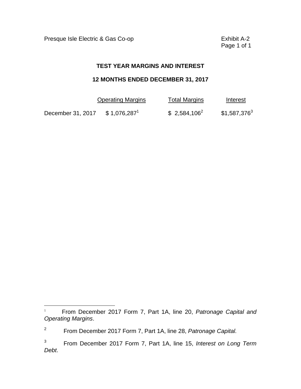Presque Isle Electric & Gas Co-op **Exhibit A-2** 

 $\overline{a}$ 

Page 1 of 1

#### **TEST YEAR MARGINS AND INTEREST**

#### **12 MONTHS ENDED DECEMBER 31, 2017**

|                   | <b>Operating Margins</b>  | <b>Total Margins</b> | Interest       |
|-------------------|---------------------------|----------------------|----------------|
| December 31, 2017 | $$1,076,287$ <sup>1</sup> | $$2,584,106^2$       | $$1,587,376^3$ |

<sup>1</sup>From December 2017 Form 7, Part 1A, line 20, *Patronage Capital and Operating Margins*.

<sup>2</sup> From December 2017 Form 7, Part 1A, line 28, *Patronage Capital.* 

 $\mathbf{3}$ 3 From December 2017 Form 7, Part 1A, line 15, *Interest on Long Term Debt*.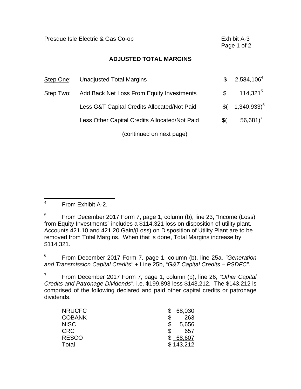Presque Isle Electric & Gas Co-op **Exhibit A-3**  Page 1 of 2 **ADJUSTED TOTAL MARGINS**  Step One: Unadjusted Total Margins  $$2,584,106^4$ Step Two: Add Back Net Loss From Equity Investments  $\frac{1}{2}$  114,321<sup>5</sup> Less G&T Capital Credits Allocated/Not Paid  $$6 \quad 1.340.933$ <sup>6</sup> Less Other Capital Credits Allocated/Not Paid  $$6.681$ <sup>7</sup> (continued on next page)

 $\overline{4}$ 4 From Exhibit A-2.

5 5 From December 2017 Form 7, page 1, column (b), line 23, "Income (Loss) from Equity Investments" includes a \$114,321 loss on disposition of utility plant. Accounts 421.10 and 421.20 Gain/(Loss) on Disposition of Utility Plant are to be removed from Total Margins. When that is done, Total Margins increase by \$114,321.

6 6 From December 2017 Form 7, page 1, column (b), line 25a, *"Generation and Transmission Capital Credits"* + Line 25b, "*G&T Capital Credits – PSDFC".* 

 $\overline{7}$ 7 From December 2017 Form 7, page 1, column (b), line 26, *"Other Capital Credits and Patronage Dividends"*, i.e. \$199,893 less \$143,212. The \$143,212 is comprised of the following declared and paid other capital credits or patronage dividends.

| <b>NRUCFC</b> | 68,030  |
|---------------|---------|
| <b>COBANK</b> | 263     |
| <b>NISC</b>   | 5,656   |
| <b>CRC</b>    | 657     |
| <b>RESCO</b>  | 68,607  |
| Total         | 143,212 |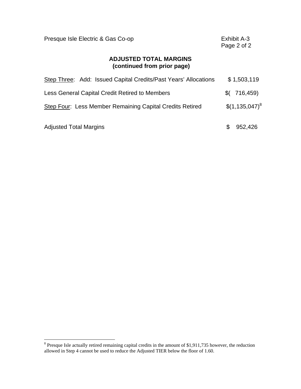| Presque Isle Electric & Gas Co-op                               | Exhibit A-3<br>Page 2 of 2 |
|-----------------------------------------------------------------|----------------------------|
| <b>ADJUSTED TOTAL MARGINS</b><br>(continued from prior page)    |                            |
| Step Three: Add: Issued Capital Credits/Past Years' Allocations | \$1,503,119                |
| Less General Capital Credit Retired to Members                  | 716,459)<br>\$(            |
| Step Four: Less Member Remaining Capital Credits Retired        | $$(1,135,047)^8$           |
| <b>Adjusted Total Margins</b>                                   | 952,426                    |

 $\overline{a}$ 

 $8$  Presque Isle actually retired remaining capital credits in the amount of \$1,911,735 however, the reduction allowed in Step 4 cannot be used to reduce the Adjusted TIER below the floor of 1.60.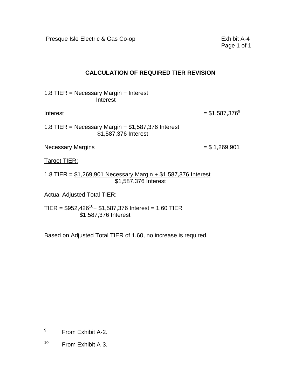Presque Isle Electric & Gas Co-op **Exhibit A-4** 

Page 1 of 1

## **CALCULATION OF REQUIRED TIER REVISION**

1.8 TIER = Necessary Margin + Interest **Interest** 

Interest  $= $1,587,376^9$ 

1.8 TIER = Necessary Margin  $+$  \$1,587,376 Interest \$1,587,376 Interest

Necessary Margins  $= $1,269,901$ 

Target TIER:

1.8 TIER = \$1,269,901 Necessary Margin + \$1,587,376 Interest \$1,587,376 Interest

Actual Adjusted Total TIER:

 $TIER = $952,426^{10} + $1,587,376$  Interest = 1.60 TIER \$1,587,376 Interest

Based on Adjusted Total TIER of 1.60, no increase is required.

 $\overline{a}$ 9 From Exhibit A-2.

 $10<sub>1</sub>$ From Exhibit A-3.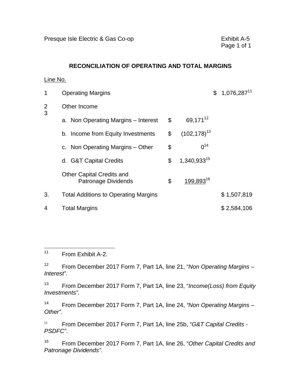#### **RECONCILIATION OF OPERATING AND TOTAL MARGINS**

#### Line No.

| 1                         | <b>Operating Margins</b>                                |                             | $$1,076,287$ <sup>11</sup> |
|---------------------------|---------------------------------------------------------|-----------------------------|----------------------------|
| $\overline{2}$<br>3<br>3. | Other Income                                            |                             |                            |
|                           | a. Non Operating Margins - Interest                     | \$<br>69,171 <sup>12</sup>  |                            |
|                           | b. Income from Equity Investments                       | \$<br>$(102, 178)^{13}$     |                            |
|                           | c. Non Operating Margins – Other                        | \$<br>$0^{14}$              |                            |
|                           | d. G&T Capital Credits                                  | \$<br>1,340,93315           |                            |
|                           | <b>Other Capital Credits and</b><br>Patronage Dividends | \$<br>199,893 <sup>16</sup> |                            |
|                           | <b>Total Additions to Operating Margins</b>             |                             | \$1,507,819                |
| 4                         | <b>Total Margins</b>                                    |                             | \$2,584,106                |

 $\overline{a}$ From Exhibit A-2.

 $12<sup>°</sup>$ 12 From December 2017 Form 7, Part 1A, line 21, "*Non Operating Margins – Interest".* 

 $13$ 13 From December 2017 Form 7, Part 1A, line 23, "*Income(Loss) from Equity Investments".* 

 $14$ 14 From December 2017 Form 7, Part 1A, line 24, *"Non Operating Margins – Other".* 

15 <sup>15</sup>From December 2017 Form 7, Part 1A, line 25b, "*G&T Capital Credits - PSDFC"*.

16 16 From December 2017 Form 7, Part 1A, line 26, "*Other Capital Credits and Patronage Dividends"*.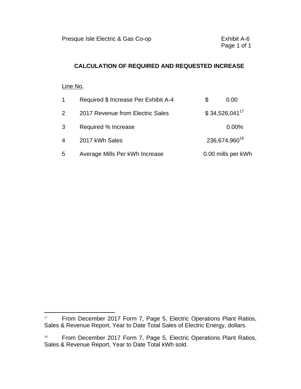## **CALCULATION OF REQUIRED AND REQUESTED INCREASE**

#### Line No.

 $\overline{a}$ 

| $\mathbf{1}$   | Required \$ Increase Per Exhibit A-4 | S | 0.00                      |
|----------------|--------------------------------------|---|---------------------------|
| $\overline{2}$ | 2017 Revenue from Electric Sales     |   | $$34,526,041^{17}$        |
| 3              | Required % Increase                  |   | 0.00%                     |
| 4              | 2017 kWh Sales                       |   | 236,674,960 <sup>18</sup> |
| 5              | Average Mills Per kWh Increase       |   | 0.00 mills per kWh        |

<sup>&</sup>lt;sup>17</sup> From December 2017 Form 7, Page 5, Electric Operations Plant Ratios, Sales & Revenue Report, Year to Date Total Sales of Electric Energy, dollars.

 $18\,$ From December 2017 Form 7, Page 5, Electric Operations Plant Ratios, Sales & Revenue Report, Year to Date Total kWh sold.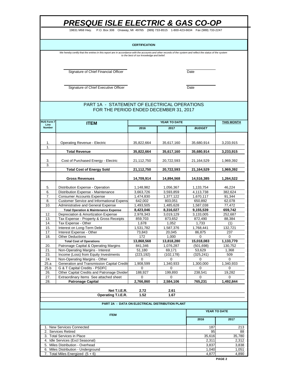19831 M68 Hwy. P.O. Box 308 Onaway, MI 49765 (989) 733-8515 1-800-423-6634 Fax (989) 733-2247

#### **CERTIFICATION**

We hereby certify that the entries in this report are in accordance with the accounts and other records of the system and reflect the status of the system<br>to the best of our knowledge and belief.

Signature of Chief Financial Officer **Date** 

Signature of Chief Executive Officer **Date** 

#### FOR THE PERIOD ENDED DECEMBER 31, 2017 PART 1A - STATEMENT OF ELECTRICAL OPERATIONS

| <b>RUS Form 7</b>     | <b>ITEM</b>                                                        |                | <b>YEAR TO DATE</b>                             |               | <b>THIS MONTH</b> |
|-----------------------|--------------------------------------------------------------------|----------------|-------------------------------------------------|---------------|-------------------|
| Line<br><b>Number</b> |                                                                    | 2016           | 2017                                            | <b>BUDGET</b> |                   |
|                       |                                                                    |                |                                                 |               |                   |
| 1.                    | <b>Operating Revenue - Electric</b>                                | 35,822,664     | 35,617,160                                      | 35,680,914    | 3,233,915         |
| 1.                    |                                                                    |                |                                                 |               |                   |
|                       | <b>Total Revenue</b>                                               | 35,822,664     | 35,617,160                                      | 35,680,914    | 3,233,915         |
|                       |                                                                    |                |                                                 |               |                   |
| 3.                    | Cost of Purchased Energy - Electric                                | 21,112,750     | 20,722,593                                      | 21,164,529    | 1,969,392         |
| 3.                    |                                                                    |                |                                                 |               |                   |
|                       | <b>Total Cost of Energy Sold</b>                                   | 21,112,750     | 20,722,593                                      | 21,164,529    | 1,969,392         |
|                       |                                                                    |                |                                                 |               |                   |
|                       | <b>Gross Revenues</b>                                              | 14,709,914     | 14,894,568                                      | 14,516,385    | 1,264,522         |
| 5.                    | Distribution Expense - Operation                                   | 1,148,982      | 1,056,367                                       | 1,133,754     | 46,224            |
| 6.                    | Distribution Expense - Maintenance                                 | 3.663.726      | 3,593,859                                       | 4,113,738     | 382.624           |
| 7.                    | <b>Consumer Accounts Expense</b>                                   | 1,474,830      | 1,377,122                                       | 1,670,117     | 91,344            |
| 8.                    | <b>Customer Service and Informational Expens</b>                   | 642,002        | 803,051                                         | 650,892       | 62,078            |
| 10.                   | Administrative and General Expense                                 | 1,493,505      | 1,485,628                                       | 1,587,038     | 77,472            |
|                       | <b>Total Operation &amp; Maintenance Expense</b>                   | 8,423,046      | 8,316,027                                       | 9,155,539     | 659,742           |
| 12.                   | Depreciation & Amortization Expense                                | 2,978,343      | 3,019,129                                       | 3,133,005     | 252.687           |
| 13.                   | Tax Expense - Property & Gross Receipts                            | 859,703        | 873,652                                         | 872,490       | 88,384            |
| 14.                   | Tax Expense - Other                                                | 1.678          | 1,052                                           | 1.733         | (1)               |
| 15.                   | Interest on Long-Term Debt                                         | 1,531,782      | 1,587,376                                       | 1,768,441     | 132,721           |
| 17.                   | Interest Expense - Other                                           | 73,843         | 20,045                                          | 86,875        | 237               |
| 18.                   | <b>Other Deductions</b>                                            | 172            | 1,000                                           | $\Omega$      | $\Omega$          |
|                       | <b>Total Cost of Operations</b>                                    | 13,868,568     | 13,818,280                                      | 15,018,083    | 1,133,770         |
| 20.                   | Patronage Capital & Operating Margins                              | 841,346        | 1,076,287                                       | (501, 698)    | 130,752           |
| 21.                   | Non-Operating Margins - Interest                                   | 51,180         | 69,171                                          | 53,629        | 1,368             |
| 23.                   | Income (Loss) from Equity Investments                              | (223, 192)     | (102, 178)                                      | (325, 241)    | 509               |
| 24.                   | Non-Operating Margins - Other                                      | $\mathbf 0$    | $\mathbf 0$                                     | 0             | $\mathbf 0$       |
| 25.a                  | Generation and Transmission Capital Credits                        | 1,908,599      | 1,340,933                                       | 1,300,000     | 1,340,933         |
| 25.b                  | G & T Capital Credits - PSDFC                                      | 0              | 0                                               | 0             | 0                 |
| 26.                   | Other Capital Credits and Patronage Divider                        | 188,927        | 199,893                                         | 238,541       | 19,282            |
| 27.<br>28.            | Extraordinary Items See attached sheet<br><b>Patronage Capital</b> | 0<br>2,766,860 | 0<br>2,584,106                                  | 0<br>765,231  | 0<br>1,492,844    |
|                       |                                                                    |                |                                                 |               |                   |
|                       | Net T.I.E.R.                                                       | 2.72           | 2.61                                            |               |                   |
|                       | Operating T.I.E.R.                                                 | 1.52           | 1.67                                            |               |                   |
|                       |                                                                    |                |                                                 |               |                   |
|                       |                                                                    |                | PART 2A - DATA ON ELECTRICAL DISTRIBUTION PLANT |               |                   |
|                       | <b>ITEM</b>                                                        |                | YEAR TO DATE                                    |               |                   |
|                       |                                                                    |                |                                                 | 2016          | 2017              |
|                       | 1. New Services Connected                                          |                |                                                 | 187           | 213               |
|                       | 2. Services Retired                                                |                |                                                 | 95            | 88                |
|                       | 3. Total Services in Place                                         |                |                                                 | 35,616        | 35,780            |
|                       | 4. Idle Services (Excl Seasonal)                                   |                |                                                 | 2,311         | 2,312             |
|                       | 5. Miles Distribution - Overhead                                   |                |                                                 | 3,837         | 3,838             |
|                       | 6. Miles Distribution - Underground                                |                |                                                 | 1,040         | 1,051             |
| 7.                    | Total Miles Energized $(5 + 6)$                                    |                |                                                 | 4,877         | 4,890             |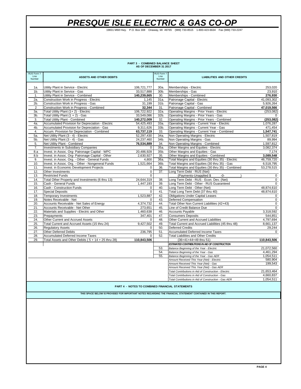19831 M68 Hwy. P.O. Box 308 Onaway, MI 49765 (989) 733-8515 1-800-423-6634 Fax (989) 733-2247

|                |                                                                                                   | <b>PART 3 - COMBINED BALANCE SHEET</b><br>AS OF DECEMBER 31 2017 |                |                                                                                                              |                        |
|----------------|---------------------------------------------------------------------------------------------------|------------------------------------------------------------------|----------------|--------------------------------------------------------------------------------------------------------------|------------------------|
| RUS Form 7     |                                                                                                   |                                                                  | RUS Form 7     |                                                                                                              |                        |
| Line<br>Number | <b>ASSETS AND OTHER DEBITS</b>                                                                    |                                                                  | Line<br>Number | <b>LIABILITIES AND OTHER CREDITS</b>                                                                         |                        |
| 1a.            | Utility Plant in Service - Electric                                                               | 106,721,777                                                      | 30a.           | Memberships - Electric                                                                                       | 253,020                |
| 1 <sub>b</sub> | Utility Plant in Service - Gas                                                                    | 33,517,888                                                       | 30b.           | Memberships - Gas                                                                                            | 23,910                 |
| 1.             | Utility Plant in Service - Combined                                                               | 140,239,665                                                      | 30.            | Memberships - Combined                                                                                       | 276,930                |
| 2a.            | Construction Work in Progress - Electric                                                          | 1,145                                                            | 31a.           | Patronage Capital - Electric                                                                                 | 41,093,302             |
| 2b.            | Construction Work in Progress - Gas                                                               | 31,199                                                           | 31b.           | Patronage Capital - Gas                                                                                      | 5,926,264              |
| $\overline{2}$ | Construction Work in Progress - Combined                                                          | 32,344                                                           | 31.            | Patronage Capital - Combined                                                                                 | 47,019,566             |
| За.            | Total Utility Plant (1+2) - Electric                                                              | 106,722,922                                                      | 32a.           | Operating Margins - Prior Years - Electric                                                                   | (253, 082)             |
| 3b.            | Total Utility Plant (1 + 2) - Gas                                                                 | 33,549,086                                                       | 32b.           | Operating Margins - Prior Years - Gas                                                                        | $\Omega$               |
| 3.             | <b>Total Utility Plant - Combined</b>                                                             | 140,272,009                                                      | 32.            | Operating Margins - Prior Years - Combined                                                                   | (253,082)              |
| 4a.            | Accumulated Provision for Depreciation - Electric<br>Accumulated Provision for Depreciation - Gas | 54,425,493                                                       | 33a.           | Operating Margins - Current Year - Electric                                                                  | 1,076,287              |
| 4b.<br>4.      | Accum. Provision for Depreciation - Combined                                                      | 9,311,626<br>63,737,119                                          | 33b.<br>33.    | Operating Margins - Current Year - Gas<br>Operating Margins - Current Year - Combined                        | 471,454                |
| 5а.            | Net Utility Plant (3 - 4) - Electric                                                              | 52,297,430                                                       | 34a.           | Non Operating Margins - Electric                                                                             | 1,547,741<br>1.507.819 |
| 5b.            | Net Utility Plant (3 - 4) - Gas                                                                   | 24,237,460                                                       | 34b.           | Non Operating Margins - Gas                                                                                  | 89,994                 |
| 5.             | Net Utility Plant - Combined                                                                      | 76,534,889                                                       | 34.            | Non Operating Margins - Combined                                                                             | 1,597,812              |
| 7.             | <b>Investments in Subsidiary Companies</b>                                                        | 0                                                                | 35a.           | Other Margins and Equities - Electric                                                                        | 3,082,374              |
| 8.a            | Invest. in Assoc. Org- Patronage Capital - WPC                                                    | 20,486,928                                                       | 35b.           | Other Margins and Equities - Gas                                                                             | 7,174                  |
| 8.b            | Invest. in Assoc. Org- Patronage Capital - Other                                                  | 2.630.927                                                        | 35.            | Other Margins and Equities - Combined                                                                        | 3,089,548              |
| 9.             | Invest. in Assoc. Org. - Other - General Funds                                                    | 4,800                                                            | 36a.           | Total Margins and Equities (30 thru 35) - Electric                                                           | 46,759,720             |
| 10.            | Invest. in Assoc. Org. - Other - Nongeneral Funds                                                 | 1,521,664                                                        | 36b.           | Total Margins and Equities (30 thru 35) - Gas                                                                | 6,518,795              |
| 11.            | Invest. in Economic Development Projects                                                          | $\mathbf 0$                                                      | 36.            | Total Margins and Equities (30 thru 35) - Combined                                                           | 53,278,515             |
| 12.            | Other Investments                                                                                 | $\mathbf 0$                                                      | 37.            | Long Term Debt - RUS (Net)                                                                                   |                        |
| 13.            | <b>Restricted Funds</b>                                                                           | $\Omega$                                                         |                | (Payments-Unapplied \$<br>$-0-$                                                                              | $\mathbf 0$            |
| 14.            | Total Other Property and Investments (6 thru 13)                                                  | 24.644.319                                                       | 38.            | Long Term Debt - RUS - Econ, Dev. (Net)                                                                      | $\Omega$               |
| 15.            | Cash - General Funds                                                                              | 1,447,193                                                        | 39.            | Long Term Debt - Other - RUS Guaranteed                                                                      | 0                      |
| 16.            | Cash - Construction Funds                                                                         | 0                                                                | 40.            | Long Term Debt - Other (Net)                                                                                 | 48,874,610             |
| 17.            | <b>Special Deposits</b>                                                                           | $\mathbf 0$                                                      | 41.            | Total Long Term Debt (37 thru 40)                                                                            | 48.874.610             |
| 18.            | <b>Temporary Investments</b>                                                                      | 1,523,887                                                        | 42.            | <b>Obligations Under Capital Leases</b>                                                                      | 0                      |
| 19.            | Notes Receivable - Net                                                                            | 0                                                                | 43.            | Deferred Compensation                                                                                        | 0                      |
| 20.            | Accounts Receivable - Net Sales of Energy                                                         | 4,374,732                                                        | 44.            | Total Other Non Current Liabilities (42+43)                                                                  | 0                      |
| 21.            | Accounts Receivable - Net Other                                                                   | 273,651                                                          | 45.            | Line of Credit Balance Due                                                                                   | 0                      |
| 22.            | Materials and Supplies - Electric and Other                                                       | 1,460,638                                                        | 46.            | Accounts Payable                                                                                             | 3,318,592              |
| 23.<br>24.     | Prepayments<br>Other Current and Accrued Assets                                                   | 347,401                                                          | 47.<br>48.     | <b>Consumers Deposits</b>                                                                                    | 544.851<br>4.797.694   |
| 25.            | Total Current and Accrued Assets (15 thru 24)                                                     | 0<br>9,427,502                                                   | 49.            | Other Current and Accrued Liabilities<br>Total Current and Accrued Liabilities (45 thru 48)                  | 8,661,137              |
| 26.            | <b>Requlatory Assets</b>                                                                          | $\mathbf 0$                                                      | 50.            | <b>Deferred Credits</b>                                                                                      | 29,244                 |
| 27.            | Other Deferred Debits                                                                             | 236,795                                                          | 51.            | <b>Accumulated Deferred Income Taxes</b>                                                                     | 0                      |
| 28.            | <b>Accumulated Deferred Income Taxes</b>                                                          | O                                                                | 52.            | <b>Total Liabilities and Other Credits</b>                                                                   |                        |
| 29.            | Total Assets and Other Debits (5 + 14 + 25 thru 28)                                               | 110,843,506                                                      |                | (36+41+44+49 thru 51)                                                                                        | 110,843,506            |
|                |                                                                                                   |                                                                  |                | ESTIMATED CONTRIBUTIONS IN AID OF CONSTRUCTION                                                               |                        |
|                |                                                                                                   |                                                                  | 53.            | Balance Beginning of the Year - Electric                                                                     | 21,072,560             |
|                |                                                                                                   |                                                                  | 54.            | Balance Beginning of the Year - Gas                                                                          | 4,461,294              |
|                |                                                                                                   |                                                                  | 55.            | Balance Beginning of the Year - Gas AER                                                                      | 1,054,511              |
|                |                                                                                                   |                                                                  |                | Amount Received This Year (Net) - Electric                                                                   | 580,904                |
|                |                                                                                                   |                                                                  |                | Amount Received This Year (Net) - Gas                                                                        | 199,543                |
|                |                                                                                                   |                                                                  |                | Amount Received This Year (Net) - Gas AER                                                                    |                        |
|                |                                                                                                   |                                                                  |                | Total Contributions in Aid of Construction - Electric                                                        | 21.653.464             |
|                |                                                                                                   |                                                                  |                | Total Contributions in Aid of Construction - Gas                                                             | 4,660,837              |
|                |                                                                                                   | PART 4 - NOTES TO COMBINED FINANCIAL STATEMENTS                  |                | Total Contributions in Aid of Construction - Gas AER                                                         | 1,054,511              |
|                |                                                                                                   |                                                                  |                | THIS SPACE BELOW IS PROVIDED FOR IMPORTANT NOTES REGARDING THE FINANCIAL STATEMENT CONTAINED IN THIS REPORT. |                        |
|                |                                                                                                   |                                                                  |                |                                                                                                              |                        |
|                |                                                                                                   |                                                                  |                |                                                                                                              |                        |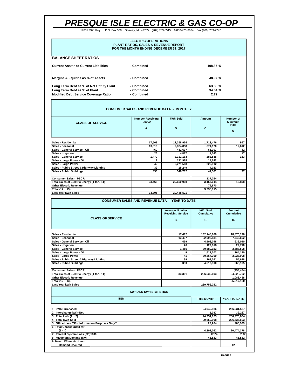19831 M68 Hwy. P.O. Box 308 Onaway, MI 49765 (989) 733-8515 1-800-423-6634 Fax (989) 733-2247

| <b>ELECTRIC OPERATIONS</b><br><b>PLANT RATIOS, SALES &amp; REVENUE REPORT</b><br>FOR THE MONTH ENDING DECEMBER 31, 2017 |            |          |  |  |
|-------------------------------------------------------------------------------------------------------------------------|------------|----------|--|--|
| <b>BALANCE SHEET RATIOS</b>                                                                                             |            |          |  |  |
| Current Assets to Current Liabilities                                                                                   | - Combined | 108.85 % |  |  |
| Margins & Equities as % of Assets                                                                                       | - Combined | 48.07 %  |  |  |
| Long Term Debt as % of Net Utitlity Plant                                                                               | - Combined | 63.86 %  |  |  |
| Long Term Debt as % of Plant                                                                                            | - Combined | 34.84%   |  |  |
| <b>Modified Debt Service Coverage Ratio</b>                                                                             | - Combined | 2.72     |  |  |

#### **CONSUMER SALES AND REVENUE DATA - MONTHLY**

| <b>CLASS OF SERVICE</b>                    | <b>Number Receiving</b><br>Service<br>А. | kWh Sold<br><b>B.</b> | Amount<br>C. | Number of<br><b>Minimum</b><br><b>Bills</b><br>D. |  |
|--------------------------------------------|------------------------------------------|-----------------------|--------------|---------------------------------------------------|--|
| Sales - Residential                        | 17,568                                   | 12,258,956            | 1,713,476    | 967                                               |  |
| Sales - Seasonal                           | 13.510                                   | 2,824,858             | 671,170      | 12,612                                            |  |
| Sales - General Service - Oil              | 469                                      | 482,637               | 61,307       | 42                                                |  |
| Sales - Irrigation                         | 26                                       | 4.887                 | 1.543        | 17                                                |  |
| Sales - General Service                    | 1.472                                    | 2,312,163             | 282,535      | 183                                               |  |
| Sales - Large Power - Oil                  | 9                                        | 131,918               | 14.242       |                                                   |  |
| Sales - Large Power                        | 42                                       | 2,271,568             | 226,912      |                                                   |  |
| Sales - Public Street & Highway Lighting   | 39                                       | 15,249                | 4.023        |                                                   |  |
| <b>Sales - Public Buildings</b>            | 333                                      | 348,762               | 44,581       | 37                                                |  |
| <b>Consumer Sales - PSCR</b>               |                                          |                       | 137,254      |                                                   |  |
| Total Sales of Electric Energy (1 thru 11) | 33.468                                   | 20,650,998            | 3,157,044    | 13.858                                            |  |
| <b>Other Electric Revenue</b>              |                                          |                       | 76,870       |                                                   |  |
| Total (12 + 13)                            |                                          |                       | 3,233,915    |                                                   |  |
| Last Year kWh Sales                        | 33,305                                   | 20,448,521            |              |                                                   |  |

#### **CONSUMER SALES AND REVENUE DATA - YEAR TO DATE**

|                                            | <b>Average Number</b><br><b>Receiving Service</b> | kWh Sold<br>Cumulative | Amount<br>Cumulative |  |
|--------------------------------------------|---------------------------------------------------|------------------------|----------------------|--|
| <b>CLASS OF SERVICE</b>                    | <b>B.</b>                                         | C.                     | D.                   |  |
|                                            |                                                   |                        |                      |  |
| <b>Sales - Residential</b>                 | 17,492                                            | 132,148,680            | 18,876,176           |  |
| Sales - Seasonal                           | 13,497                                            | 32,095,831             | 7,746,692            |  |
| Sales - General Service - Oil              | 469                                               | 4,908,048              | 639,090              |  |
| Sales - Irrigation                         | 26                                                | 127.818                | 22.710               |  |
| <b>Sales - General Service</b>             | 1,455                                             | 30,689,153             | 3,688,508            |  |
| Sales - Large Power - Oil                  | 9                                                 | 1.517.202              | 164,180              |  |
| Sales - Large Power                        | 41                                                | 30.267.390             | 3,028,008            |  |
| Sales - Public Street & Highway Lighting   | 39                                                | 269.261                | 55,628               |  |
| <b>Sales - Public Buildings</b>            | 333                                               | 4,512,310              | 566,165              |  |
| <b>Consumer Sales - PSCR</b>               |                                                   |                        | (258, 454)           |  |
| Total Sales of Electric Energy (1 thru 11) | 33.361                                            | 236,535,693            | 34,528,702           |  |
| <b>Other Electric Revenue</b>              |                                                   |                        | 1,088,458            |  |
| Total (12 + 13)                            |                                                   |                        | 35,617,160           |  |
| Last Year kWh Sales                        |                                                   | 239,756,252            |                      |  |
|                                            | <b>KWH AND KWH STATISTICS</b>                     |                        |                      |  |
| <b>ITEM</b>                                |                                                   | <b>THIS MONTH</b>      | YEAR-TO-DATE         |  |
| 1. kWh Purchased                           |                                                   | 24.949.986             | 256,931,537          |  |
|                                            |                                                   |                        |                      |  |

| 11. kWh Purchased                                 | 24.949.986 | 256.931.537 |
|---------------------------------------------------|------------|-------------|
| 2. Interchange kWh-Net                            | 1.037      | 39.267      |
| 3. Total kWh $(1 + 2)$                            | 24,951,023 | 256.970.804 |
| 4. Total kWh-Sold                                 | 20.650.998 | 236.535.693 |
| 5. Office Use - **For Information Purposes Only** | 22.204     | 263.909     |
| <b>6. Total Unaccounted for</b>                   |            |             |
| $(3 - 4)$                                         | 4.301.062  | 20.474.378  |
| 7. Percent System Loss (6/3)x100                  | 17.24      | 7.97        |
| 8. Maximum Demand (kw)                            | 45.522     | 45.522      |
| 9. Month When Maximum                             |            |             |
| <b>Demand Occured</b>                             |            | 12          |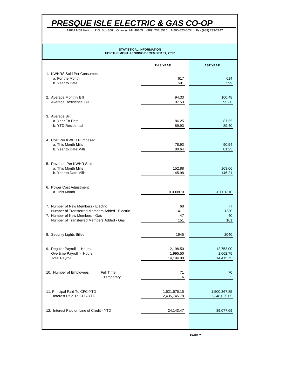19831 M68 Hwy. P.O. Box 308 Onaway, MI 49765 (989) 733-8515 1-800-423-6634 Fax (989) 733-2247

## **STATISTICAL INFORMATION FOR THE MONTH ENDING DECEMBER 31, 2017**

|                                                                                                                               | <b>THIS YEAR</b>             | <b>LAST YEAR</b>      |
|-------------------------------------------------------------------------------------------------------------------------------|------------------------------|-----------------------|
| 1. KWHRS Sold Per Consumer:<br>a. For the Month<br>b. Year to Date                                                            | 617<br>591                   | 614<br>599            |
|                                                                                                                               |                              |                       |
| 2. Average Monthly Bill<br>Average Residential Bill                                                                           | 94.33<br>97.53               | 100.48<br>95.36       |
| 3. Average Bill:<br>a. Year To Date                                                                                           | 86.25                        | 87.55                 |
| b. YTD Residential                                                                                                            | 89.93                        | 89.40                 |
| 4. Cost Per KWHR Purchased<br>a. This Month Mills                                                                             | 78.93                        | 90.54                 |
| b. Year to Date Mills                                                                                                         | 80.64                        | 81.23                 |
| 5. Revenue Per KWHR Sold:<br>a. This Month Mills                                                                              | 152.88                       | 163.66                |
| b. Year to Date Mills                                                                                                         | 145.98                       | 146.21                |
| 6. Power Cost Adjustment<br>a. This Month                                                                                     | 0.000870                     | $-0.001310$           |
| 7. Number of New Members - Electric                                                                                           | 68                           | 77                    |
| Number of Transferred Members Added - Electric<br>7. Number of New Members - Gas<br>Number of Transferred Members Added - Gas | 1411<br>47<br>151            | 1230<br>40<br>161     |
|                                                                                                                               |                              |                       |
| 8. Security Lights Billed                                                                                                     | 1945                         | 2040                  |
| 9. Regular Payroll - Hours<br>Overtime Payroll - Hours                                                                        | 12,198.50<br>1,995.50        | 12,753.00<br>1,662.75 |
| <b>Total Payroll</b>                                                                                                          | 14,194.00                    | 14,415.75             |
| 10. Number of Employees<br>Full Time<br>Temporary                                                                             | 71<br>6                      | 70<br>5               |
| 11. Principal Paid To CFC-YTD<br>Interest Paid To CFC-YTD                                                                     | 1,621,675.15<br>2,435,745.78 | 1,500,367.85          |
|                                                                                                                               |                              | 2,348,025.05          |
| 12. Interest Paid on Line of Credit - YTD                                                                                     | 24,143.47                    | 89,077.69             |
|                                                                                                                               |                              |                       |

**PAGE 7**